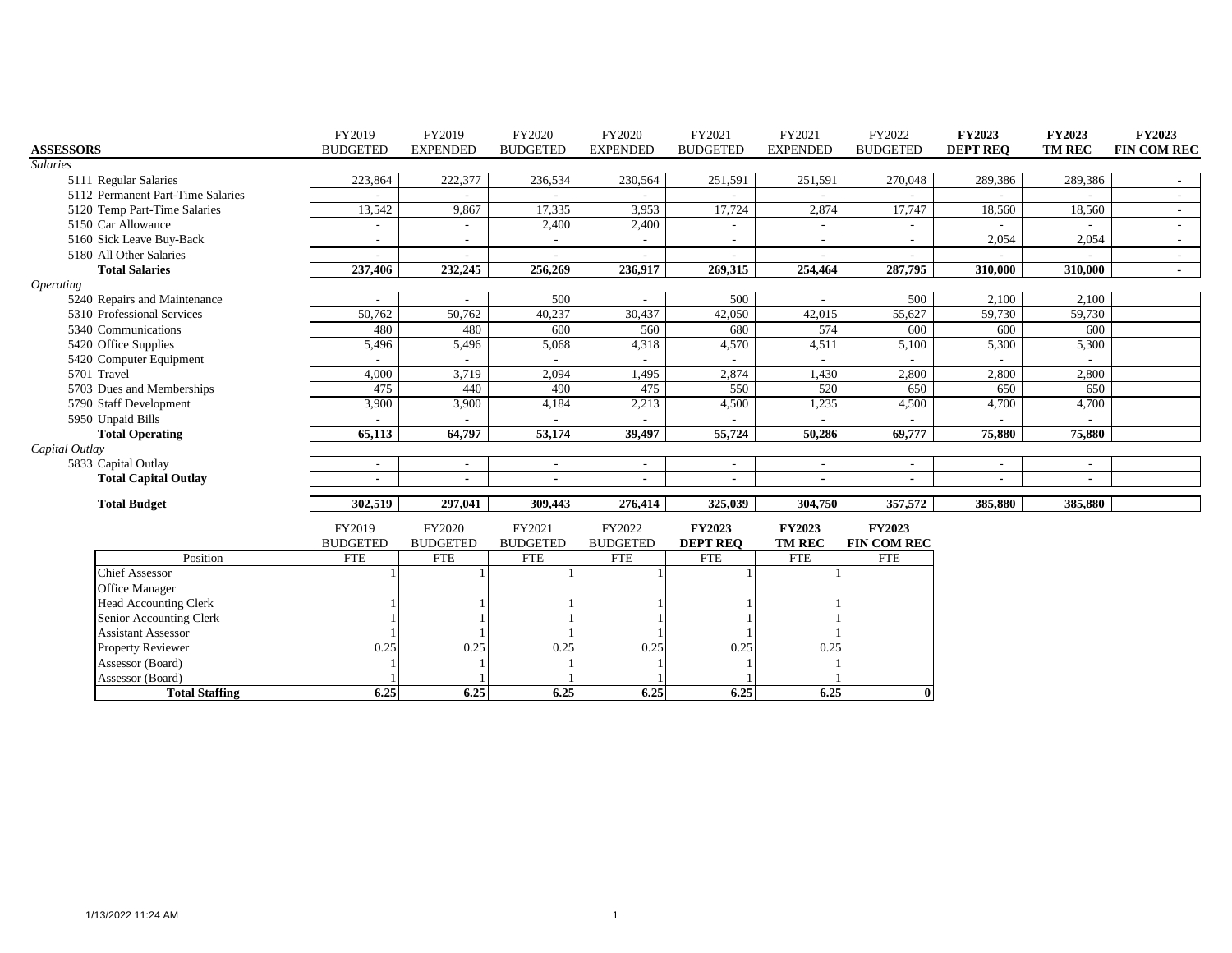|                         |                                   | FY2019                   | FY2019                   | FY2020                   | FY2020                   | FY2021                   | FY2021          | FY2022             | <b>FY2023</b>   | <b>FY2023</b> | <b>FY2023</b>            |
|-------------------------|-----------------------------------|--------------------------|--------------------------|--------------------------|--------------------------|--------------------------|-----------------|--------------------|-----------------|---------------|--------------------------|
| <b>ASSESSORS</b>        |                                   | <b>BUDGETED</b>          | <b>EXPENDED</b>          | <b>BUDGETED</b>          | <b>EXPENDED</b>          | <b>BUDGETED</b>          | <b>EXPENDED</b> | <b>BUDGETED</b>    | <b>DEPT REO</b> | <b>TM REC</b> | <b>FIN COM REC</b>       |
| <b>Salaries</b>         |                                   |                          |                          |                          |                          |                          |                 |                    |                 |               |                          |
|                         | 5111 Regular Salaries             | 223,864                  | 222,377                  | 236,534                  | 230,564                  | 251,591                  | 251,591         | 270,048            | 289,386         | 289,386       | $\sim$                   |
|                         | 5112 Permanent Part-Time Salaries |                          |                          | $\sim$                   |                          |                          | $\sim$          |                    |                 |               | $\sim$                   |
|                         | 5120 Temp Part-Time Salaries      | 13,542                   | 9,867                    | 17,335                   | 3,953                    | 17,724                   | 2,874           | 17,747             | 18,560          | 18,560        | $\sim$                   |
|                         | 5150 Car Allowance                | $\sim$                   |                          | 2,400                    | 2,400                    | $\overline{\phantom{a}}$ | $\sim$          |                    |                 |               | $\sim$                   |
|                         | 5160 Sick Leave Buy-Back          | $\sim$                   | $\overline{\phantom{a}}$ | $\sim$                   | $\overline{\phantom{a}}$ | $\sim$                   | $\sim$          |                    | 2,054           | 2,054         | $\sim$                   |
|                         | 5180 All Other Salaries           | $\overline{\phantom{a}}$ |                          | $\overline{\phantom{a}}$ |                          | $\overline{\phantom{a}}$ | $\sim$          |                    |                 |               | $\overline{\phantom{a}}$ |
|                         | <b>Total Salaries</b>             | 237,406                  | 232,245                  | 256,269                  | 236,917                  | 269,315                  | 254,464         | 287,795            | 310,000         | 310.000       | $\blacksquare$           |
| <i><b>Operating</b></i> |                                   |                          |                          |                          |                          |                          |                 |                    |                 |               |                          |
|                         | 5240 Repairs and Maintenance      |                          |                          | 500                      |                          | 500                      |                 | 500                | 2,100           | 2,100         |                          |
|                         | 5310 Professional Services        | 50,762                   | 50,762                   | 40,237                   | 30,437                   | 42,050                   | 42,015          | 55,627             | 59,730          | 59,730        |                          |
|                         | 5340 Communications               | 480                      | 480                      | 600                      | 560                      | 680                      | 574             | 600                | 600             | 600           |                          |
|                         | 5420 Office Supplies              | 5,496                    | 5,496                    | 5,068                    | 4,318                    | 4,570                    | 4,511           | 5,100              | 5,300           | 5,300         |                          |
|                         | 5420 Computer Equipment           |                          |                          |                          |                          |                          |                 |                    |                 |               |                          |
|                         | 5701 Travel                       | 4,000                    | 3,719                    | 2,094                    | 1,495                    | 2,874                    | 1,430           | 2,800              | 2,800           | 2,800         |                          |
|                         | 5703 Dues and Memberships         | 475                      | 440                      | 490                      | 475                      | 550                      | 520             | 650                | 650             | 650           |                          |
|                         | 5790 Staff Development            | 3,900                    | 3,900                    | 4,184                    | 2,213                    | 4,500                    | 1,235           | 4,500              | 4,700           | 4,700         |                          |
|                         | 5950 Unpaid Bills                 |                          |                          |                          |                          |                          |                 |                    |                 |               |                          |
|                         | <b>Total Operating</b>            | 65,113                   | 64,797                   | 53,174                   | 39,497                   | 55,724                   | 50,286          | 69,777             | 75,880          | 75,880        |                          |
| Capital Outlay          |                                   |                          |                          |                          |                          |                          |                 |                    |                 |               |                          |
|                         | 5833 Capital Outlay               | $\sim$                   |                          | $\sim$                   | $\overline{\phantom{a}}$ | $\overline{\phantom{a}}$ | $\sim$          |                    | $\sim$          |               |                          |
|                         | <b>Total Capital Outlay</b>       | $\blacksquare$           | $\blacksquare$           | $\blacksquare$           | $\overline{\phantom{a}}$ | $\blacksquare$           | $\blacksquare$  | $\blacksquare$     | $\sim$          |               |                          |
|                         | <b>Total Budget</b>               | 302,519                  | 297,041                  | 309,443                  | 276,414                  | 325,039                  | 304,750         | 357,572            | 385,880         | 385,880       |                          |
|                         |                                   | FY2019                   | FY2020                   | FY2021                   | FY2022                   | <b>FY2023</b>            | <b>FY2023</b>   | <b>FY2023</b>      |                 |               |                          |
|                         |                                   | <b>BUDGETED</b>          | <b>BUDGETED</b>          | <b>BUDGETED</b>          | <b>BUDGETED</b>          | <b>DEPT REQ</b>          | <b>TM REC</b>   | <b>FIN COM REC</b> |                 |               |                          |
|                         | Position                          | <b>FTE</b>               | <b>FTE</b>               | <b>FTE</b>               | <b>FTE</b>               | <b>FTE</b>               | <b>FTE</b>      | <b>FTE</b>         |                 |               |                          |
|                         | <b>Chief Assessor</b>             |                          |                          |                          |                          |                          |                 |                    |                 |               |                          |
|                         | Office Manager                    |                          |                          |                          |                          |                          |                 |                    |                 |               |                          |
|                         | Head Accounting Clerk             |                          |                          |                          |                          |                          |                 |                    |                 |               |                          |
|                         | Senior Accounting Clerk           |                          |                          |                          |                          |                          |                 |                    |                 |               |                          |
|                         | <b>Assistant Assessor</b>         |                          |                          |                          |                          |                          |                 |                    |                 |               |                          |
|                         | <b>Property Reviewer</b>          | 0.25                     | 0.25                     | 0.25                     | 0.25                     | 0.25                     | 0.25            |                    |                 |               |                          |
|                         | Assessor (Board)                  |                          |                          |                          |                          |                          |                 |                    |                 |               |                          |
|                         | Assessor (Board)                  |                          |                          |                          |                          |                          |                 |                    |                 |               |                          |
|                         | <b>Total Staffing</b>             | 6.25                     | 6.25                     | 6.25                     | 6.25                     | 6.25                     | 6.25            | $\mathbf{0}$       |                 |               |                          |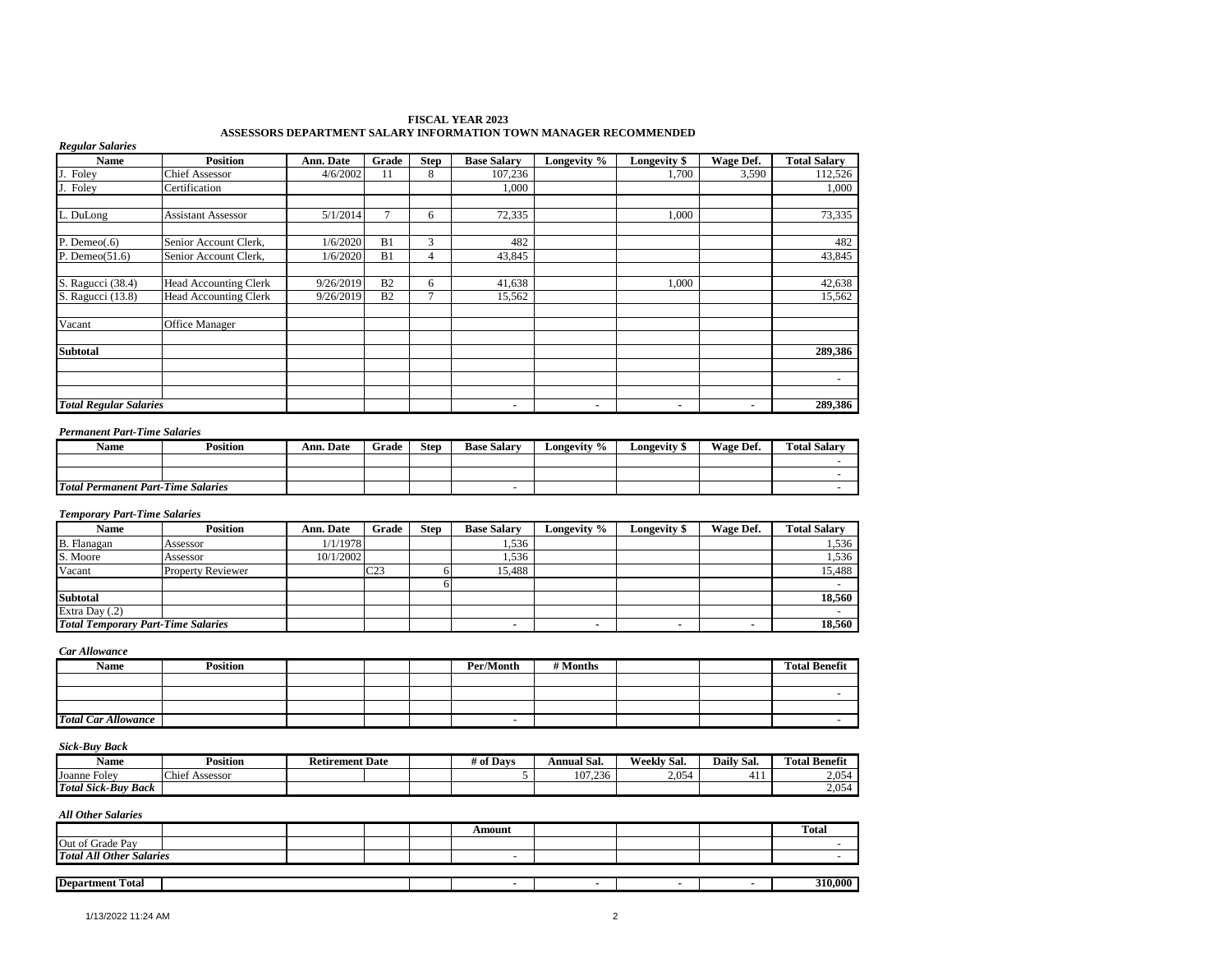#### **FISCAL YEAR 2023 ASSESSORS DEPARTMENT SALARY INFORMATION TOWN MANAGER RECOMMENDED**

| <b>Regular Salaries</b>       | <b>Position</b>              |           |                |             |                    |             |                     |           |                          |
|-------------------------------|------------------------------|-----------|----------------|-------------|--------------------|-------------|---------------------|-----------|--------------------------|
| <b>Name</b>                   |                              | Ann. Date | Grade          | <b>Step</b> | <b>Base Salary</b> | Longevity % | <b>Longevity \$</b> | Wage Def. | <b>Total Salary</b>      |
| Foley                         | <b>Chief Assessor</b>        | 4/6/2002  | 11             | 8           | 107,236            |             | 1,700               | 3,590     | 112,526                  |
| J. Foley                      | Certification                |           |                |             | 1,000              |             |                     |           | 1,000                    |
| L. DuLong                     | <b>Assistant Assessor</b>    | 5/1/2014  |                | 6           | 72,335             |             | 1,000               |           | 73,335                   |
| P. Deme $o(.6)$               | Senior Account Clerk,        | 1/6/2020  | B1             | 3           | 482                |             |                     |           | 482                      |
| P. Deme $o(51.6)$             | Senior Account Clerk,        | 1/6/2020  | B1             | 4           | 43,845             |             |                     |           | 43,845                   |
| S. Ragucci (38.4)             | <b>Head Accounting Clerk</b> | 9/26/2019 | B <sub>2</sub> | 6           | 41,638             |             | 1,000               |           | 42,638                   |
| S. Ragucci (13.8)             | <b>Head Accounting Clerk</b> | 9/26/2019 | B <sub>2</sub> | 7           | 15,562             |             |                     |           | 15,562                   |
| Vacant                        | Office Manager               |           |                |             |                    |             |                     |           |                          |
| <b>Subtotal</b>               |                              |           |                |             |                    |             |                     |           | 289,386                  |
|                               |                              |           |                |             |                    |             |                     |           |                          |
|                               |                              |           |                |             |                    |             |                     |           | $\overline{\phantom{a}}$ |
| <b>Total Regular Salaries</b> |                              |           |                |             | ۰.                 | ۰           | ٠                   | ۰         | 289,386                  |

#### *Permanent Part-Time Salaries*

| <b>Name</b>                               | Position | Ann. Date | Grade | <b>Step</b> | <b>Base Salarv</b> | Longevity % | ∟ongevitv ′ | Wage Def. | <b>Total Salarv</b> |
|-------------------------------------------|----------|-----------|-------|-------------|--------------------|-------------|-------------|-----------|---------------------|
|                                           |          |           |       |             |                    |             |             |           |                     |
|                                           |          |           |       |             |                    |             |             |           |                     |
| <b>Total Permanent Part-Time Salaries</b> |          |           |       |             |                    |             |             |           |                     |

#### *Temporary Part-Time Salaries*

| Name                                      | <b>Position</b>          | Ann. Date | Grade           | <b>Step</b> | <b>Base Salary</b> | Longevity %              | <b>Longevity</b> \$ | Wage Def. | <b>Total Salarv</b> |
|-------------------------------------------|--------------------------|-----------|-----------------|-------------|--------------------|--------------------------|---------------------|-----------|---------------------|
| B. Flanagan                               | Assessor                 | 1/1/1978  |                 |             | 1,536              |                          |                     |           | 1,536               |
| S. Moore                                  | Assessor                 | 10/1/2002 |                 |             | 1,536              |                          |                     |           | 1,536               |
| Vacant                                    | <b>Property Reviewer</b> |           | C <sub>23</sub> |             | 15.488             |                          |                     |           | 15,488              |
|                                           |                          |           |                 |             |                    |                          |                     |           |                     |
| <b>Subtotal</b>                           |                          |           |                 |             |                    |                          |                     |           | 18,560              |
| Extra Day (.2)                            |                          |           |                 |             |                    |                          |                     |           |                     |
| <b>Total Temporary Part-Time Salaries</b> |                          |           |                 |             |                    | $\overline{\phantom{a}}$ | ۰                   |           | 18,560              |

*Car Allowance*

| Name                       | <b>Position</b> |  | Per/Month | # Months |  | <b>Total Benefit</b> |
|----------------------------|-----------------|--|-----------|----------|--|----------------------|
|                            |                 |  |           |          |  |                      |
|                            |                 |  |           |          |  |                      |
|                            |                 |  |           |          |  |                      |
| <b>Total Car Allowance</b> |                 |  |           |          |  |                      |

### *Sick-Buy Back*

| Name                                          | <b>Position</b>                                               | <b>Retirement Date</b> |  | # of Davs | . .<br>Annual Sal.     | $\sim$<br><b>Weekly</b><br>-Sal. | Daily Sal. | <sup>1</sup> Benefit<br><b>CONTRACTOR</b><br>Fotal |
|-----------------------------------------------|---------------------------------------------------------------|------------------------|--|-----------|------------------------|----------------------------------|------------|----------------------------------------------------|
| $\overline{\phantom{0}}$<br>. Folev<br>Joanne | $\mathsf{ICF}$ .<br>$\mathsf{C}$ hie <sup>+</sup><br>Assessor |                        |  |           | $\sim$<br>107<br>7.236 | 2.054                            | T 1 1      | 2,054                                              |
| Total<br>' Sick-Buv<br>Back                   |                                                               |                        |  |           |                        |                                  |            | 2.054                                              |

|                                 |  | Amount                   |  | Total   |
|---------------------------------|--|--------------------------|--|---------|
| Out of Grade Pay                |  |                          |  |         |
| <b>Total All Other Salaries</b> |  | $\overline{\phantom{0}}$ |  |         |
|                                 |  |                          |  |         |
| <b>Department Total</b>         |  |                          |  | 310,000 |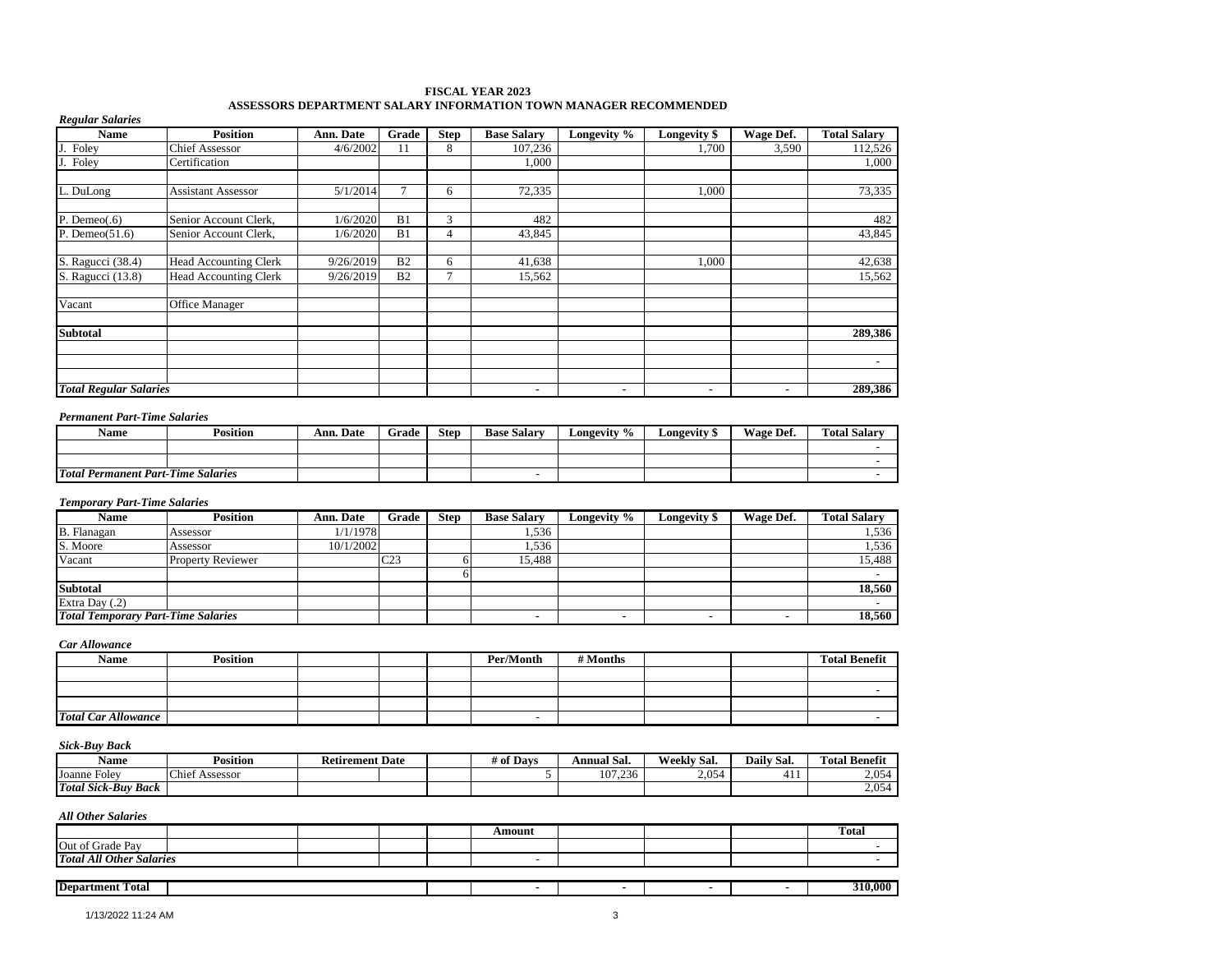#### **FISCAL YEAR 2023 ASSESSORS DEPARTMENT SALARY INFORMATION TOWN MANAGER RECOMMENDED**

| <b>Regular Salaries</b>       |                              |           |                |                |                    |             |                |                |                     |
|-------------------------------|------------------------------|-----------|----------------|----------------|--------------------|-------------|----------------|----------------|---------------------|
| <b>Name</b>                   | <b>Position</b>              | Ann. Date | Grade          | <b>Step</b>    | <b>Base Salary</b> | Longevity % | Longevity \$   | Wage Def.      | <b>Total Salary</b> |
| Foley                         | <b>Chief Assessor</b>        | 4/6/2002  | 11             | 8              | 107,236            |             | 1,700          | 3,590          | 112,526             |
| Foley                         | Certification                |           |                |                | 1,000              |             |                |                | 1,000               |
| L. DuLong                     | <b>Assistant Assessor</b>    | 5/1/2014  |                | 6              | 72,335             |             | 1,000          |                | 73,335              |
| P. Deme $o(.6)$               | Senior Account Clerk,        | 1/6/2020  | B1             | 3              | 482                |             |                |                | 482                 |
| P. Deme $o(51.6)$             | Senior Account Clerk,        | 1/6/2020  | B1             | $\overline{4}$ | 43,845             |             |                |                | 43,845              |
| S. Ragucci (38.4)             | Head Accounting Clerk        | 9/26/2019 | B <sub>2</sub> | 6              | 41,638             |             | 1,000          |                | 42,638              |
| S. Ragucci (13.8)             | <b>Head Accounting Clerk</b> | 9/26/2019 | B <sub>2</sub> | 7              | 15,562             |             |                |                | 15,562              |
| Vacant                        | Office Manager               |           |                |                |                    |             |                |                |                     |
| <b>Subtotal</b>               |                              |           |                |                |                    |             |                |                | 289,386             |
|                               |                              |           |                |                |                    |             |                |                |                     |
|                               |                              |           |                |                |                    |             |                |                |                     |
| <b>Total Regular Salaries</b> |                              |           |                |                | $\blacksquare$     |             | $\blacksquare$ | $\blacksquare$ | 289,386             |

#### *Permanent Part-Time Salaries*

| Name                                      | <b>Position</b> | <b>Ann. Date</b> | Grade | <b>Step</b> | <b>Base Salary</b> | Longevity % | Longevity \$ | Wage Def. | <b>Total Salarv</b> |
|-------------------------------------------|-----------------|------------------|-------|-------------|--------------------|-------------|--------------|-----------|---------------------|
|                                           |                 |                  |       |             |                    |             |              |           |                     |
|                                           |                 |                  |       |             |                    |             |              |           |                     |
| <b>Total Permanent Part-Time Salaries</b> |                 |                  |       |             | -                  |             |              |           |                     |

#### *Temporary Part-Time Salaries*

| Name                                      | <b>Position</b>          | <b>Ann. Date</b> | Grade           | <b>Step</b> | <b>Base Salary</b> | Longevity % | Longevity \$ | Wage Def. | <b>Total Salary</b> |
|-------------------------------------------|--------------------------|------------------|-----------------|-------------|--------------------|-------------|--------------|-----------|---------------------|
| <b>B.</b> Flanagan                        | Assessor                 | 1/1/1978         |                 |             | 1,536              |             |              |           | .536                |
| S. Moore                                  | Assessor                 | 10/1/2002        |                 |             | 1,536              |             |              |           | 1,536               |
| Vacant                                    | <b>Property Reviewer</b> |                  | C <sub>23</sub> |             | 15,488             |             |              |           | 15,488              |
|                                           |                          |                  |                 |             |                    |             |              |           |                     |
| <b>Subtotal</b>                           |                          |                  |                 |             |                    |             |              |           | 18.560              |
| Extra Day $(.2)$                          |                          |                  |                 |             |                    |             |              |           |                     |
| <b>Total Temporary Part-Time Salaries</b> |                          |                  |                 |             |                    |             |              |           | 18,560              |

### *Car Allowance*

| Name                       | <b>Position</b> |  | Per/Month                | # Months |  | <b>Total Benefit</b> |
|----------------------------|-----------------|--|--------------------------|----------|--|----------------------|
|                            |                 |  |                          |          |  |                      |
|                            |                 |  |                          |          |  |                      |
|                            |                 |  |                          |          |  |                      |
| <b>Total Car Allowance</b> |                 |  | $\overline{\phantom{0}}$ |          |  |                      |

### *Sick-Buy Back*

| Name                                                     | Position                    | Date<br><b>Retirement</b> |  | 4 of Davs | Annual Sal. | Weekly<br>- Sal. | $\cdot$<br>Dail"<br>- Sal. | m<br><b>Total Benefit</b> |
|----------------------------------------------------------|-----------------------------|---------------------------|--|-----------|-------------|------------------|----------------------------|---------------------------|
| Joanne<br>. Folev                                        | $\sim$<br>Assessor<br>Chief |                           |  |           | 107,236     | $\Omega$<br>2,03 | .<br>↵<br>гı.              | 2. Q54<br>2.v.            |
| Total.<br>$\mathbf{r}$ .<br>-Buv<br><b>Back</b><br>Sick- |                             |                           |  |           |             |                  |                            | 2,05                      |

|                                 |  |  | Amount |  | <b>Total</b> |
|---------------------------------|--|--|--------|--|--------------|
| Out of Grade Pay                |  |  |        |  |              |
| <b>Total All Other Salaries</b> |  |  |        |  |              |
|                                 |  |  |        |  |              |
| <b>Department Total</b>         |  |  |        |  | 310,000      |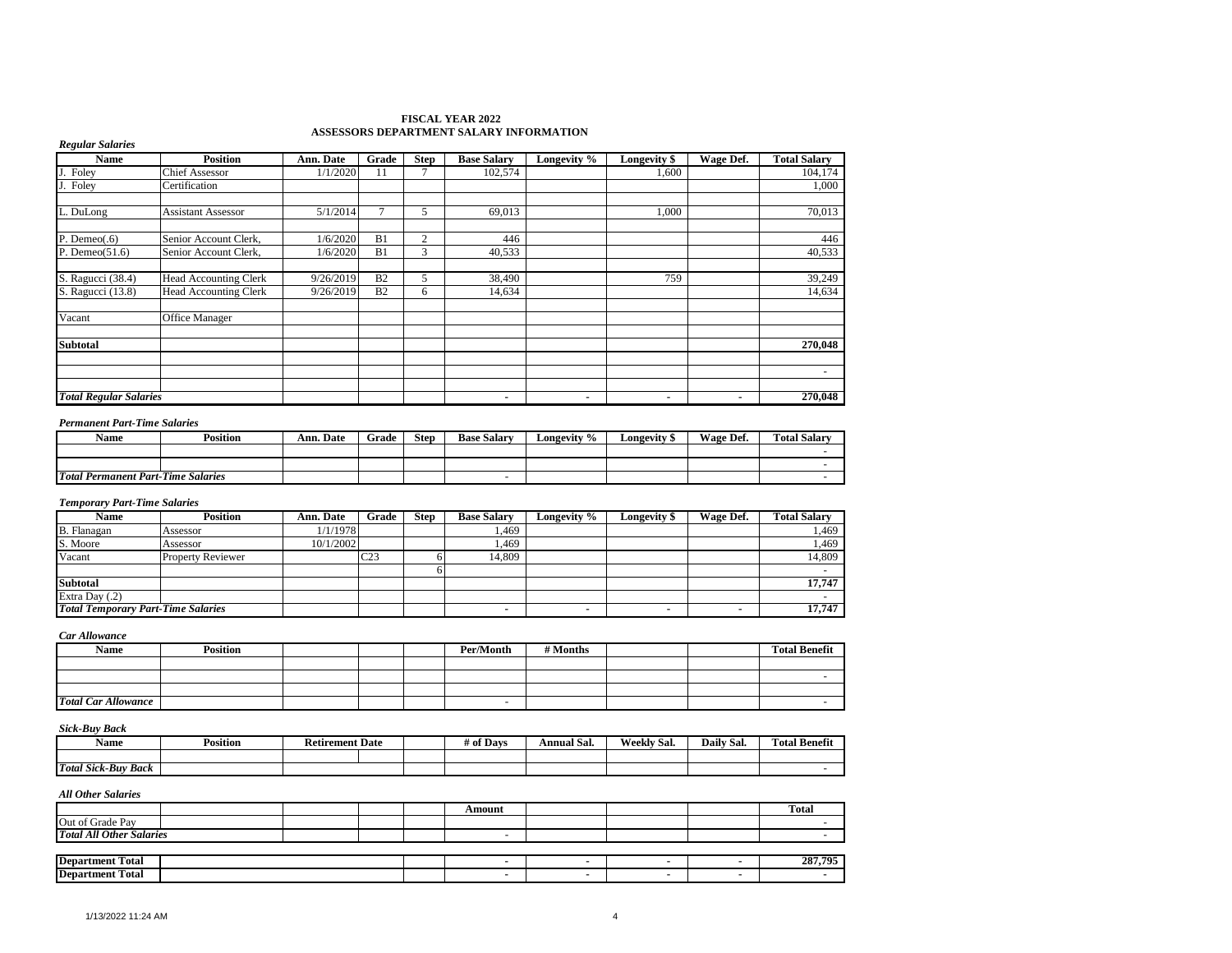#### **FISCAL YEAR 2022 ASSESSORS DEPARTMENT SALARY INFORMATION**

| <b>Name</b>                         | <b>Position</b>              | Ann. Date | Grade          | <b>Step</b>    | <b>Base Salary</b> | Longevity % | Longevity \$   | Wage Def. | <b>Total Salary</b> |
|-------------------------------------|------------------------------|-----------|----------------|----------------|--------------------|-------------|----------------|-----------|---------------------|
| Foley                               | <b>Chief Assessor</b>        | 1/1/2020  | 11             |                | 102,574            |             | 1,600          |           | 104,174             |
| Foley                               | Certification                |           |                |                |                    |             |                |           | 1,000               |
|                                     |                              |           |                |                |                    |             |                |           |                     |
| L. DuLong                           | <b>Assistant Assessor</b>    | 5/1/2014  |                | 5              | 69,013             |             | 1,000          |           | 70,013              |
|                                     |                              |           |                |                |                    |             |                |           |                     |
| P. Deme $o(.6)$                     | Senior Account Clerk,        | 1/6/2020  | B1             | $\overline{c}$ | 446                |             |                |           | 446                 |
| P. Deme $o(51.6)$                   | Senior Account Clerk,        | 1/6/2020  | B1             | 3              | 40,533             |             |                |           | 40,533              |
|                                     |                              |           |                |                |                    |             |                |           |                     |
| S. Ragucci (38.4)                   | <b>Head Accounting Clerk</b> | 9/26/2019 | B <sub>2</sub> | 5              | 38,490             |             | 759            |           | 39,249              |
| S. Ragucci (13.8)                   | <b>Head Accounting Clerk</b> | 9/26/2019 | B <sub>2</sub> | 6              | 14,634             |             |                |           | 14,634              |
|                                     |                              |           |                |                |                    |             |                |           |                     |
| Vacant                              | Office Manager               |           |                |                |                    |             |                |           |                     |
|                                     |                              |           |                |                |                    |             |                |           |                     |
| <b>Subtotal</b>                     |                              |           |                |                |                    |             |                |           | 270,048             |
|                                     |                              |           |                |                |                    |             |                |           |                     |
|                                     |                              |           |                |                |                    |             |                |           | $\sim$              |
|                                     |                              |           |                |                |                    |             |                |           |                     |
| <b>Total Regular Salaries</b>       |                              |           |                |                | ۰                  |             | $\blacksquare$ |           | 270,048             |
| <b>Permanent Part-Time Salaries</b> |                              |           |                |                |                    |             |                |           |                     |
|                                     |                              |           |                |                |                    |             |                |           |                     |

| <b>Name</b>                               | Position | Ann. Date | Grade | <b>Step</b> | <b>Base Salary</b> | Longevity % | ∟ongevitv ″ | Wage Def. | <b>Total Salary</b> |
|-------------------------------------------|----------|-----------|-------|-------------|--------------------|-------------|-------------|-----------|---------------------|
|                                           |          |           |       |             |                    |             |             |           |                     |
|                                           |          |           |       |             |                    |             |             |           |                     |
| <b>Total Permanent Part-Time Salaries</b> |          |           |       |             |                    |             |             |           |                     |

#### *Temporary Part-Time Salaries*

| <b>Name</b>                               | Position                 | Ann. Date | Grade           | <b>Step</b> | <b>Base Salary</b> | Longevity % | Longevity \$ | Wage Def. | <b>Total Salarv</b> |
|-------------------------------------------|--------------------------|-----------|-----------------|-------------|--------------------|-------------|--------------|-----------|---------------------|
| B. Flanagan                               | Assessor                 | 1/1/1978  |                 |             | 1.469              |             |              |           | .469                |
| S. Moore                                  | Assessor                 | 10/1/2002 |                 |             | 1.469              |             |              |           | . 469               |
| Vacant                                    | <b>Property Reviewer</b> |           | C <sub>23</sub> |             | 14,809             |             |              |           | 14,809              |
|                                           |                          |           |                 |             |                    |             |              |           |                     |
| <b>Subtotal</b>                           |                          |           |                 |             |                    |             |              |           | 17,747              |
| Extra Day (.2)                            |                          |           |                 |             |                    |             |              |           |                     |
| <b>Total Temporary Part-Time Salaries</b> |                          |           |                 |             |                    |             |              |           | 17,747              |

#### *Car Allowance*

*Regular Salaries*

| Name                       | <b>Position</b> |  | Per/Month | # Months |  | <b>Total Benefit</b> |
|----------------------------|-----------------|--|-----------|----------|--|----------------------|
|                            |                 |  |           |          |  |                      |
|                            |                 |  |           |          |  |                      |
|                            |                 |  |           |          |  |                      |
| <b>Total Car Allowance</b> |                 |  |           |          |  |                      |

#### *Sick-Buy Back*

| Name                               | .<br>Position | <b>Retirement Date</b> |  | $f$ Davs<br># of | Annual Sal. | Sal.<br>Weekly | $\sim$ $\sim$<br>Daily<br>-Sal. | $\sim$<br><b>Total</b><br>- Benefît |
|------------------------------------|---------------|------------------------|--|------------------|-------------|----------------|---------------------------------|-------------------------------------|
|                                    |               |                        |  |                  |             |                |                                 |                                     |
| <b>Total</b><br>! Sick-Buv<br>Back |               |                        |  |                  |             |                |                                 |                                     |

|                                       |  | Amount |  | <b>Total</b> |
|---------------------------------------|--|--------|--|--------------|
| Out of C<br>، دەل<br>Grade            |  |        |  |              |
| <b>Total</b><br>Other Salaries<br>All |  |        |  |              |
|                                       |  |        |  |              |

| <b>Department</b><br>Fotal       |  |  |  | 207 705<br>-40 |
|----------------------------------|--|--|--|----------------|
| <b>Department</b><br>--<br>Total |  |  |  |                |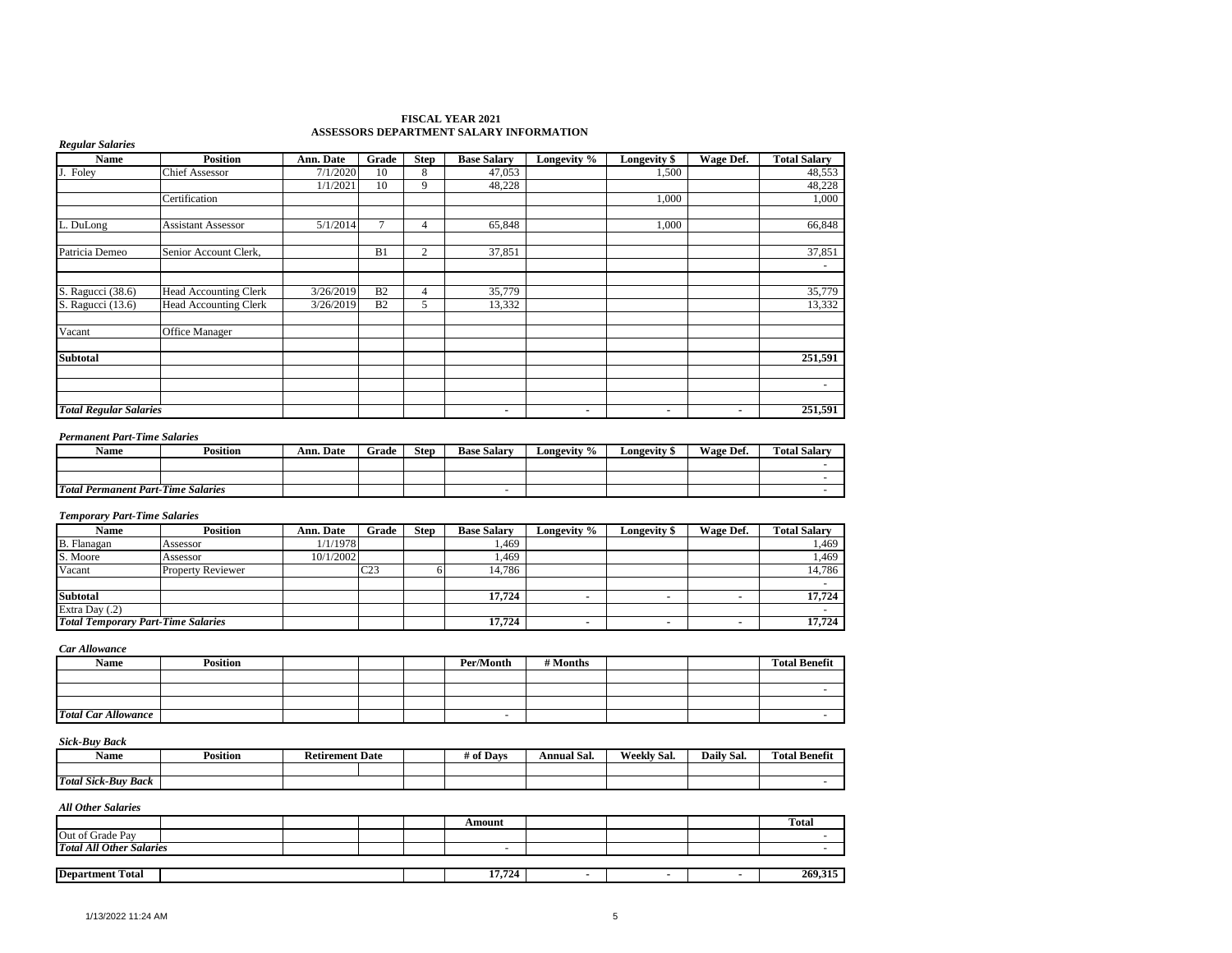#### **FISCAL YEAR 2021 ASSESSORS DEPARTMENT SALARY INFORMATION**

| <b>Name</b>                   | <b>Position</b>              | Ann. Date | Grade          | <b>Step</b> | <b>Base Salary</b> | Longevity % | <b>Longevity \$</b> | Wage Def. | <b>Total Salary</b> |
|-------------------------------|------------------------------|-----------|----------------|-------------|--------------------|-------------|---------------------|-----------|---------------------|
| Foley<br>J.                   | <b>Chief Assessor</b>        | 7/1/2020  | 10             | 8           | 47,053             |             | 1,500               |           | 48,553              |
|                               |                              | 1/1/2021  | 10             | 9           | 48,228             |             |                     |           | 48,228              |
|                               | Certification                |           |                |             |                    |             | 1,000               |           | 1,000               |
| L. DuLong                     | <b>Assistant Assessor</b>    | 5/1/2014  |                | 4           | 65,848             |             | 1,000               |           | 66,848              |
| Patricia Demeo                | Senior Account Clerk,        |           | B1             | 2           | 37,851             |             |                     |           | 37,851              |
|                               |                              |           |                |             |                    |             |                     |           |                     |
| S. Ragucci (38.6)             | <b>Head Accounting Clerk</b> | 3/26/2019 | B <sub>2</sub> | 4           | 35,779             |             |                     |           | 35,779              |
| S. Ragucci (13.6)             | <b>Head Accounting Clerk</b> | 3/26/2019 | B <sub>2</sub> | 5           | 13,332             |             |                     |           | 13,332              |
| Vacant                        | <b>Office Manager</b>        |           |                |             |                    |             |                     |           |                     |
| <b>Subtotal</b>               |                              |           |                |             |                    |             |                     |           | 251,591             |
|                               |                              |           |                |             |                    |             |                     |           |                     |
|                               |                              |           |                |             |                    |             |                     |           |                     |
|                               |                              |           |                |             |                    |             |                     |           |                     |
| <b>Total Regular Salaries</b> |                              |           |                |             | ٠                  | ٠           | ٠                   |           | 251,591             |

#### *Permanent Part-Time Salaries*

| Name                                           | <b>Position</b> | Ann. Date | Grade | <b>Step</b> | <b>Base Salary</b> | Longevity % | Longevity | <b>Wage Def.</b> | <b>Total Salary</b> |
|------------------------------------------------|-----------------|-----------|-------|-------------|--------------------|-------------|-----------|------------------|---------------------|
|                                                |                 |           |       |             |                    |             |           |                  |                     |
|                                                |                 |           |       |             |                    |             |           |                  |                     |
| <b>Total</b><br>l Permanent Part-Time Salaries |                 |           |       |             |                    |             |           |                  |                     |

#### *Temporary Part-Time Salaries*

| <b>Name</b>                               | <b>Position</b>          | Ann. Date | Grade           | <b>Step</b> | <b>Base Salary</b> | <b>Longevity</b> % | <b>Longevity</b> \$ | Wage Def. | <b>Total Salarv</b> |
|-------------------------------------------|--------------------------|-----------|-----------------|-------------|--------------------|--------------------|---------------------|-----------|---------------------|
| B. Flanagan                               | Assessor                 | 1/1/1978  |                 |             | . 469              |                    |                     |           | .469                |
| S. Moore                                  | Assessor                 | 10/1/2002 |                 |             | .469               |                    |                     |           | . 469               |
| Vacant                                    | <b>Property Reviewer</b> |           | C <sub>23</sub> |             | 14,786             |                    |                     |           | 14,786              |
|                                           |                          |           |                 |             |                    |                    |                     |           |                     |
| <b>Subtotal</b>                           |                          |           |                 |             | 17.724             |                    |                     |           | 17.724              |
| Extra Day (.2)                            |                          |           |                 |             |                    |                    |                     |           |                     |
| <b>Total Temporary Part-Time Salaries</b> |                          |           |                 |             | 17,724             |                    |                     |           | 17,724              |

*Car Allowance*

| Name                       | Position |  | Per/Month | # Months |  | <b>Total Benefit</b> |
|----------------------------|----------|--|-----------|----------|--|----------------------|
|                            |          |  |           |          |  |                      |
|                            |          |  |           |          |  |                      |
|                            |          |  |           |          |  |                      |
| <b>Total Car Allowance</b> |          |  | $\sim$    |          |  |                      |

#### *Sick-Buy Back*

| Name                       | Position | <b>Retirement Date</b> |  | # of Davs | . .<br>Annual Sal. | Weekly<br>$\sim$<br>-Sal. | Daily Sal. | <b>Total Benefit</b> |
|----------------------------|----------|------------------------|--|-----------|--------------------|---------------------------|------------|----------------------|
|                            |          |                        |  |           |                    |                           |            |                      |
| <b>Total Sick-Buy Back</b> |          |                        |  |           |                    |                           |            |                      |

|                                 |  |  | Amount                   |  | <b>Total</b> |
|---------------------------------|--|--|--------------------------|--|--------------|
| Out of Grade Pay                |  |  |                          |  |              |
| <b>Total All Other Salaries</b> |  |  | $\overline{\phantom{0}}$ |  |              |
|                                 |  |  |                          |  |              |
| <b>Department Total</b>         |  |  | 17.724                   |  | 269,315      |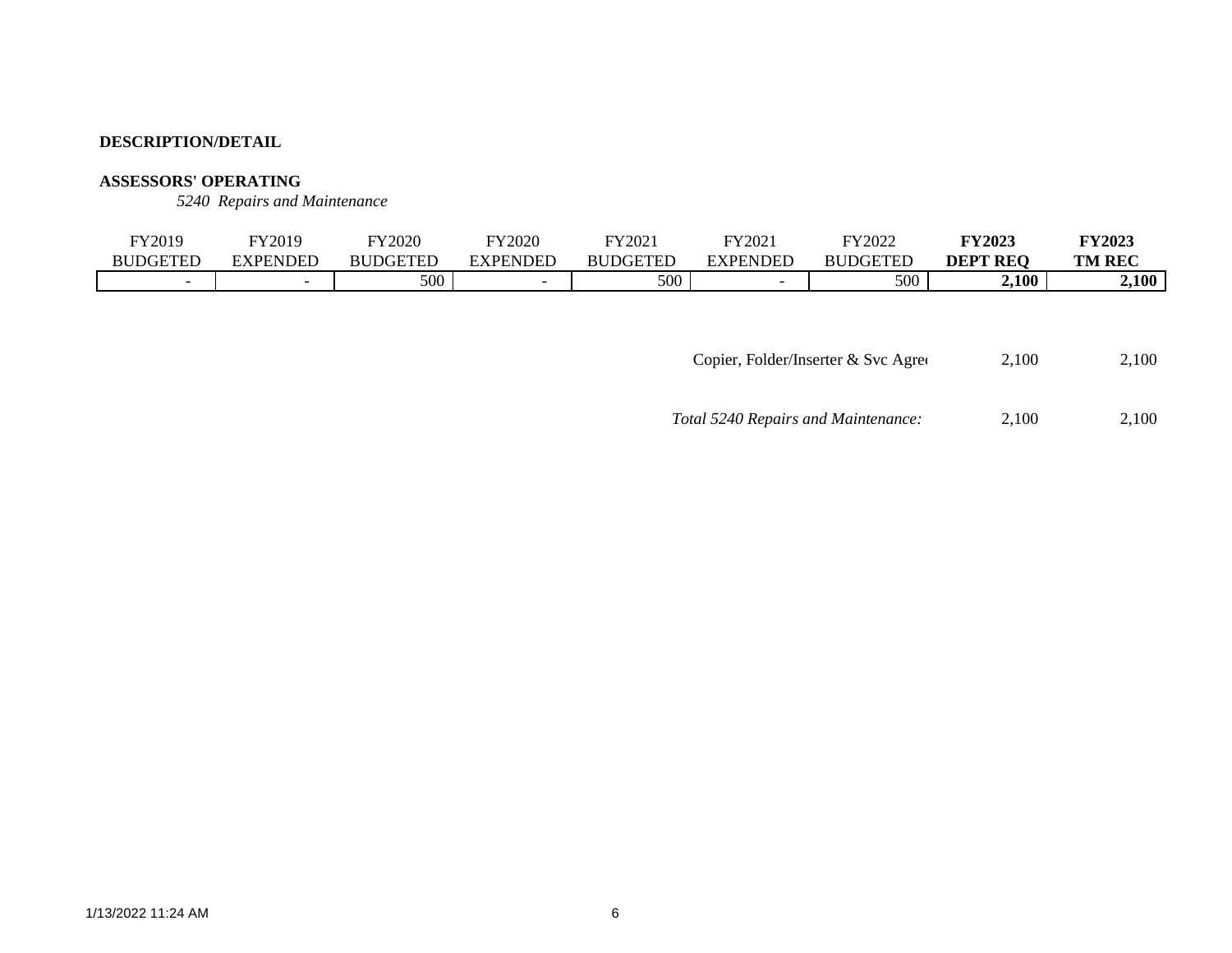## **ASSESSORS' OPERATING**

*5240 Repairs and Maintenance*

| FY2019                   | <b>FY2019</b> | FY2020          | <b>FY2020</b> | $E$ V $2021$<br>WZ | FY2021          | FY2022          | <b>FY2023</b>   | <b>FY2023</b> |
|--------------------------|---------------|-----------------|---------------|--------------------|-----------------|-----------------|-----------------|---------------|
| <b>BUDGETEL</b>          | EXPENDED      | <b>BUDGETED</b> | 7PENDED.      | <b>BUDGETED</b>    | <b>EXPENDED</b> | <b>BUDGETED</b> | <b>DEPT REQ</b> | <b>TM REC</b> |
| $\overline{\phantom{0}}$ | -             | 500             |               | 500                |                 | 500             | 2,100           | 2,100         |

Copier, Folder/Inserter & Svc Agreement 2,100 2,100

| Total 5240 Repairs and Maintenance: | 2.100 | 2,100 |
|-------------------------------------|-------|-------|
|-------------------------------------|-------|-------|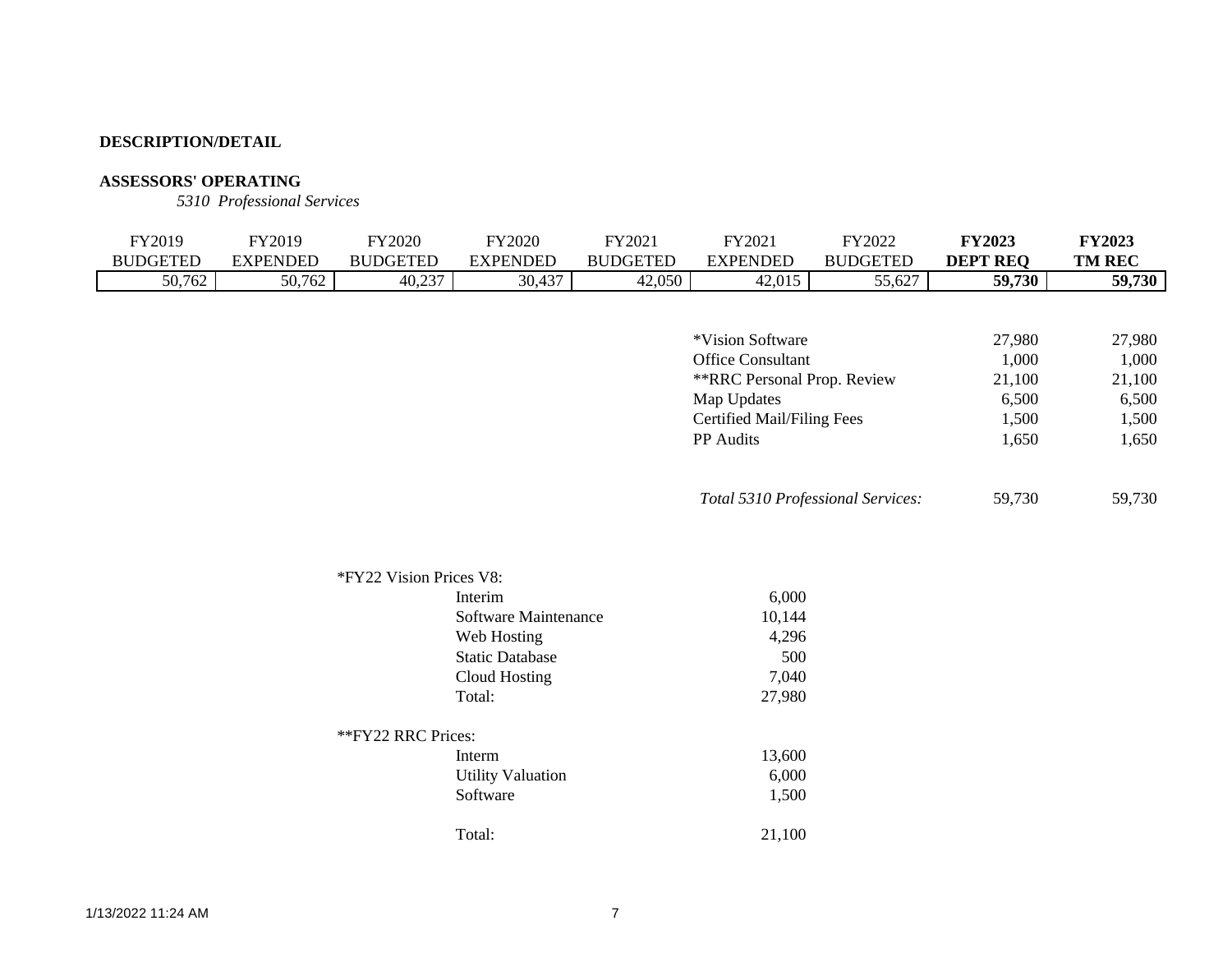# **ASSESSORS' OPERATING**

*5310 Professional Services*

| FY2019<br><b>BUDGETED</b> | FY2019<br><b>EXPENDED</b> | <b>FY2020</b><br><b>BUDGETED</b> | <b>FY2020</b><br><b>EXPENDED</b> | FY2021<br><b>BUDGETED</b> | FY2021<br><b>EXPENDED</b>         | FY2022<br><b>BUDGETED</b> | <b>FY2023</b><br><b>DEPT REQ</b> | <b>FY2023</b><br><b>TM REC</b> |
|---------------------------|---------------------------|----------------------------------|----------------------------------|---------------------------|-----------------------------------|---------------------------|----------------------------------|--------------------------------|
| 50,762                    | 50,762                    | 40,237                           | 30,437                           | 42,050                    | 42,015                            | 55,627                    | 59,730                           | 59,730                         |
|                           |                           |                                  |                                  |                           |                                   |                           |                                  |                                |
|                           |                           |                                  |                                  |                           | *Vision Software                  |                           | 27,980                           | 27,980                         |
|                           |                           |                                  |                                  |                           | <b>Office Consultant</b>          |                           | 1,000                            | 1,000                          |
|                           |                           |                                  |                                  |                           | **RRC Personal Prop. Review       |                           | 21,100                           | 21,100                         |
|                           |                           |                                  |                                  |                           | Map Updates                       |                           | 6,500                            | 6,500                          |
|                           |                           |                                  |                                  |                           | <b>Certified Mail/Filing Fees</b> |                           | 1,500                            | 1,500                          |
|                           |                           |                                  |                                  |                           | PP Audits                         |                           | 1,650                            | 1,650                          |
|                           |                           |                                  |                                  |                           | Total 5310 Professional Services: |                           | 59,730                           | 59,730                         |

| *FY22 Vision Prices V8:  |        |
|--------------------------|--------|
| Interim                  | 6,000  |
| Software Maintenance     | 10,144 |
| Web Hosting              | 4,296  |
| <b>Static Database</b>   | 500    |
| Cloud Hosting            | 7,040  |
| Total:                   | 27,980 |
| **FY22 RRC Prices:       |        |
| Interm                   | 13,600 |
| <b>Utility Valuation</b> | 6,000  |
| Software                 | 1,500  |
| Total:                   | 21,100 |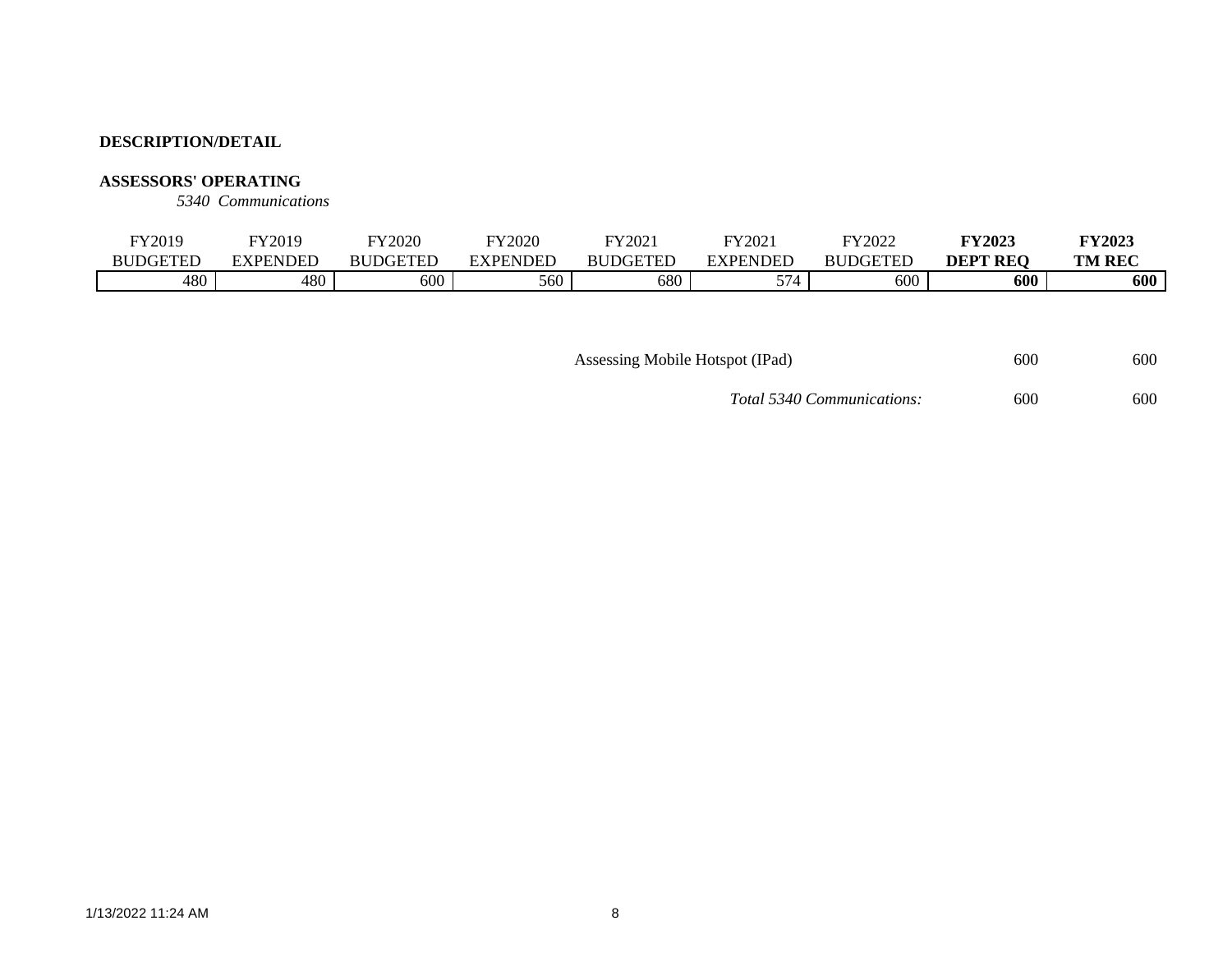### **ASSESSORS' OPERATING**

*5340 Communications*

| FY2019          | FY2019   | FY2020       | FY2020       | FY2021          | FY202            | FY2022          | <b>FY2023</b>   | <b>FY2023</b> |
|-----------------|----------|--------------|--------------|-----------------|------------------|-----------------|-----------------|---------------|
| <b>BUDGETEL</b> | EXPENDED | DGETED<br>RИ | NDEE<br>. DF | <b>BUDGETED</b> | EXPENDED         | <b>BUDGETED</b> | <b>DEPT REQ</b> | <b>TM REC</b> |
| 480             | 480      | 600          | 560          | 680             | <u>— —</u><br>ັ່ | 600             | 600             | 600           |

Assessing Mobile Hotspot (IPad) 600 600 600

*Total 5340 Communications:* 600 600 600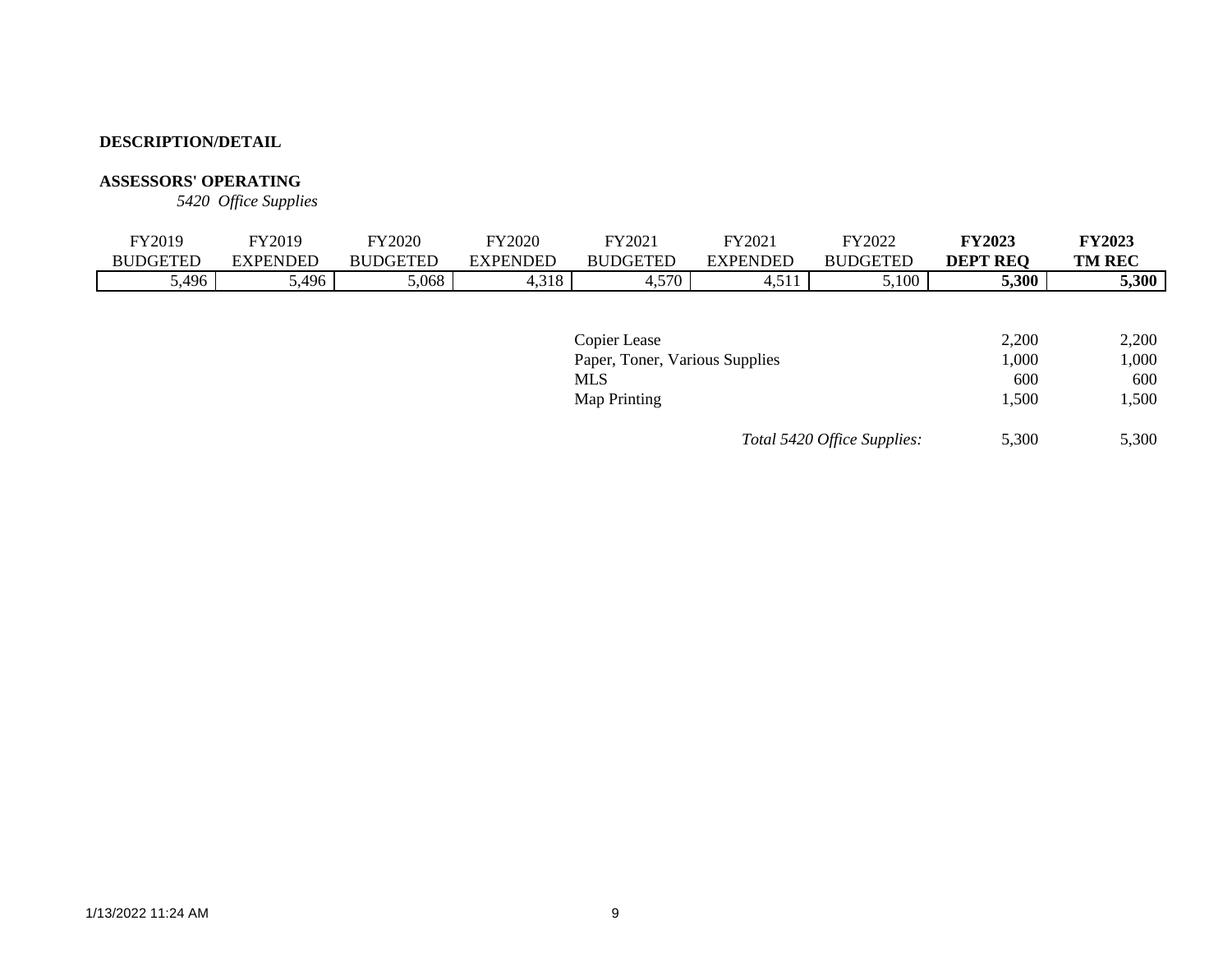# **ASSESSORS' OPERATING**

*5420 Office Supplies*

|              | FY2019          | FY2019          | <b>FY2020</b>   | <b>FY2020</b>   | FY2021          | FY2021          | FY2022          | <b>FY2023</b>   | <b>FY2023</b> |
|--------------|-----------------|-----------------|-----------------|-----------------|-----------------|-----------------|-----------------|-----------------|---------------|
|              | <b>BUDGETED</b> | <b>EXPENDED</b> | <b>BUDGETED</b> | <b>EXPENDED</b> | <b>BUDGETED</b> | <b>EXPENDED</b> | <b>BUDGETED</b> | <b>DEPT REQ</b> | <b>TM REC</b> |
|              | 5,496           | 5,496           | 5,068           | 4,318           | 4,570           | 4,511           | 5,100           | 5,300           | 5,300         |
|              |                 |                 |                 |                 |                 |                 |                 |                 |               |
|              |                 |                 |                 |                 |                 |                 |                 |                 |               |
| Copier Lease |                 |                 |                 |                 |                 |                 |                 | 2,200           | 2,200         |

| Copier Lease                   |                             | 2.200 | 2.200 |
|--------------------------------|-----------------------------|-------|-------|
| Paper, Toner, Various Supplies |                             | 1.000 | 1,000 |
| MLS                            |                             | 600   | 600   |
| Map Printing                   |                             | 1.500 | 1.500 |
|                                | Total 5420 Office Supplies: | 5,300 | 5,300 |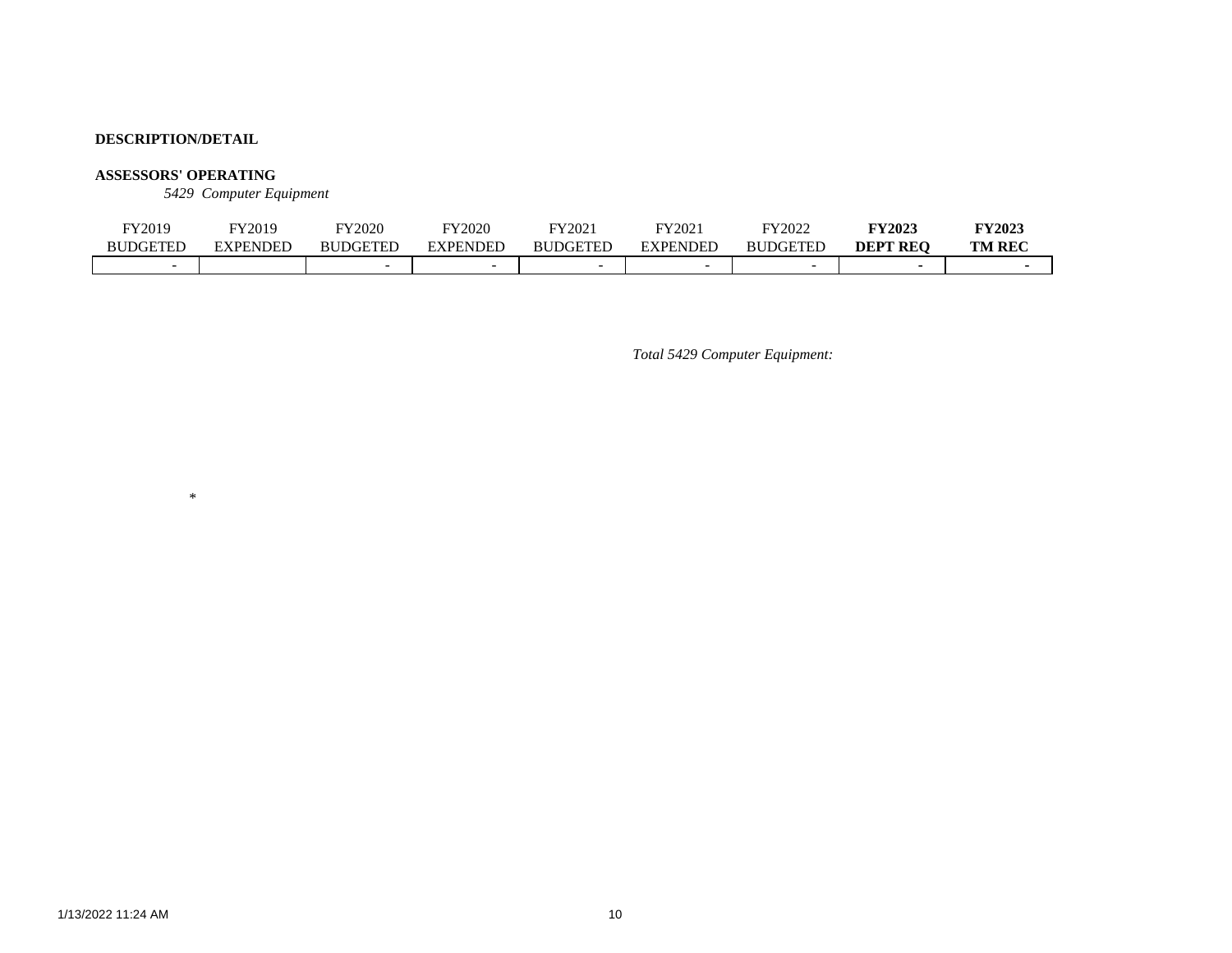### **ASSESSORS' OPERATING**

\*

*5429 Computer Equipment*

| FY2019          | FY2019   | FY2020          | FY2020   | FY2021          | FY2021   | FY2022          | <b>FY2023</b>   | <b>FY2023</b> |
|-----------------|----------|-----------------|----------|-----------------|----------|-----------------|-----------------|---------------|
| <b>BUDGETED</b> | EXPENDED | <b>BUDGETED</b> | EXPENDED | <b>BUDGETED</b> | EXPENDED | <b>BUDGETED</b> | <b>DEPT REO</b> | <b>TM REC</b> |
|                 |          |                 | -        |                 |          |                 |                 |               |

*Total 5429 Computer Equipment:*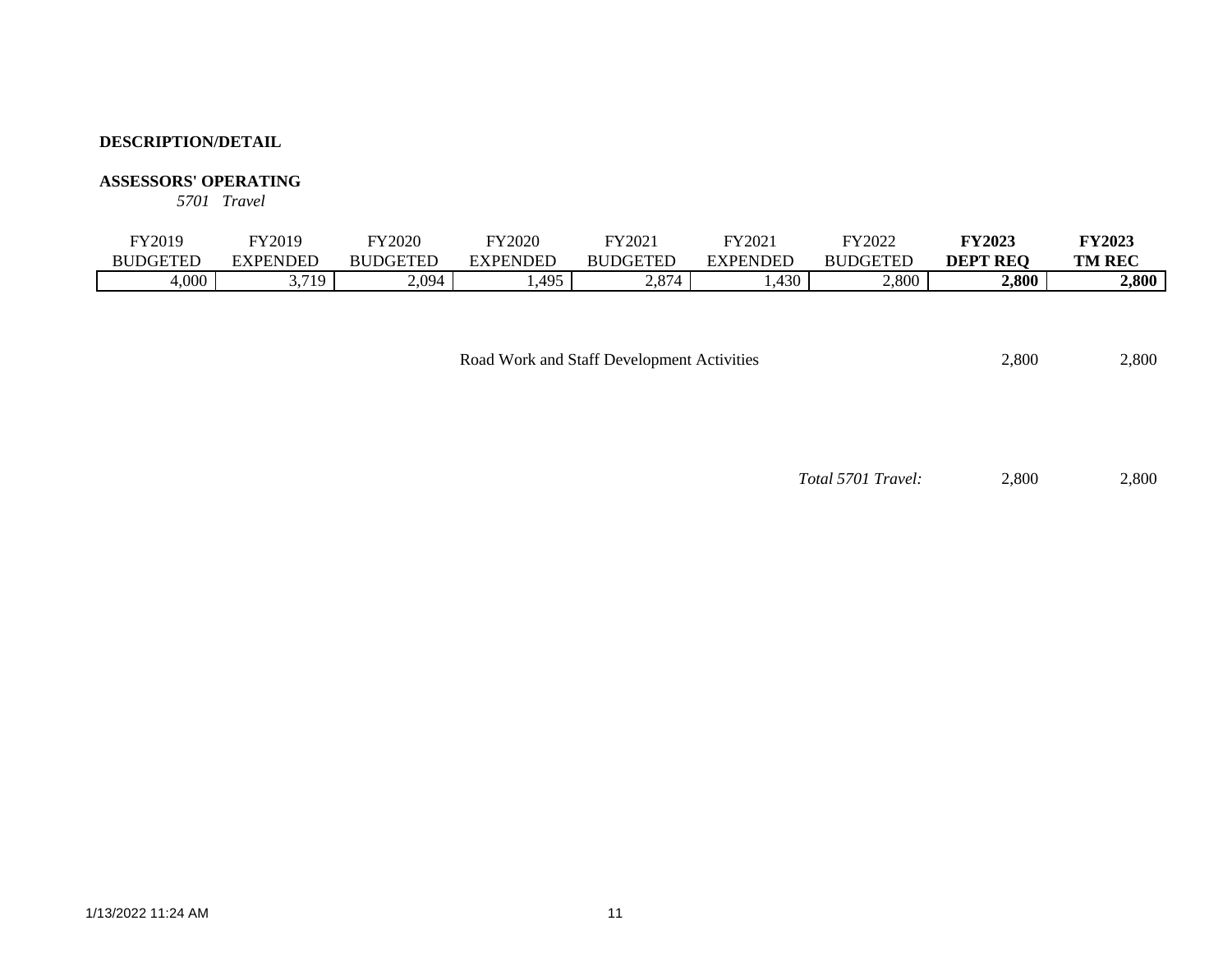### **ASSESSORS' OPERATING**

*5701 Travel*

| FY2019          | FY2019     | FY2020          | FY2020   | FY2021                      | FY2021   | FY2022          | <b>FY2023</b>   | <b>FY2023</b> |
|-----------------|------------|-----------------|----------|-----------------------------|----------|-----------------|-----------------|---------------|
| <b>BUDGETED</b> | EXPENDED   | <b>BUDGETED</b> | EXPENDED | <b>RUDGETED</b>             | EXPENDED | <b>BUDGETED</b> | <b>DEPT REO</b> | <b>TM REC</b> |
| 4,000           | 2710<br>ັ້ | 2,094           | .495     | $Q \rightarrow A$<br>$\sim$ | ,430     | 2,800           | 2,800           | 2,800         |

| Road Work and Staff Development Activities | 2.800 | 2,800 |
|--------------------------------------------|-------|-------|
|--------------------------------------------|-------|-------|

*Total 5701 Travel:* 2,800 2,800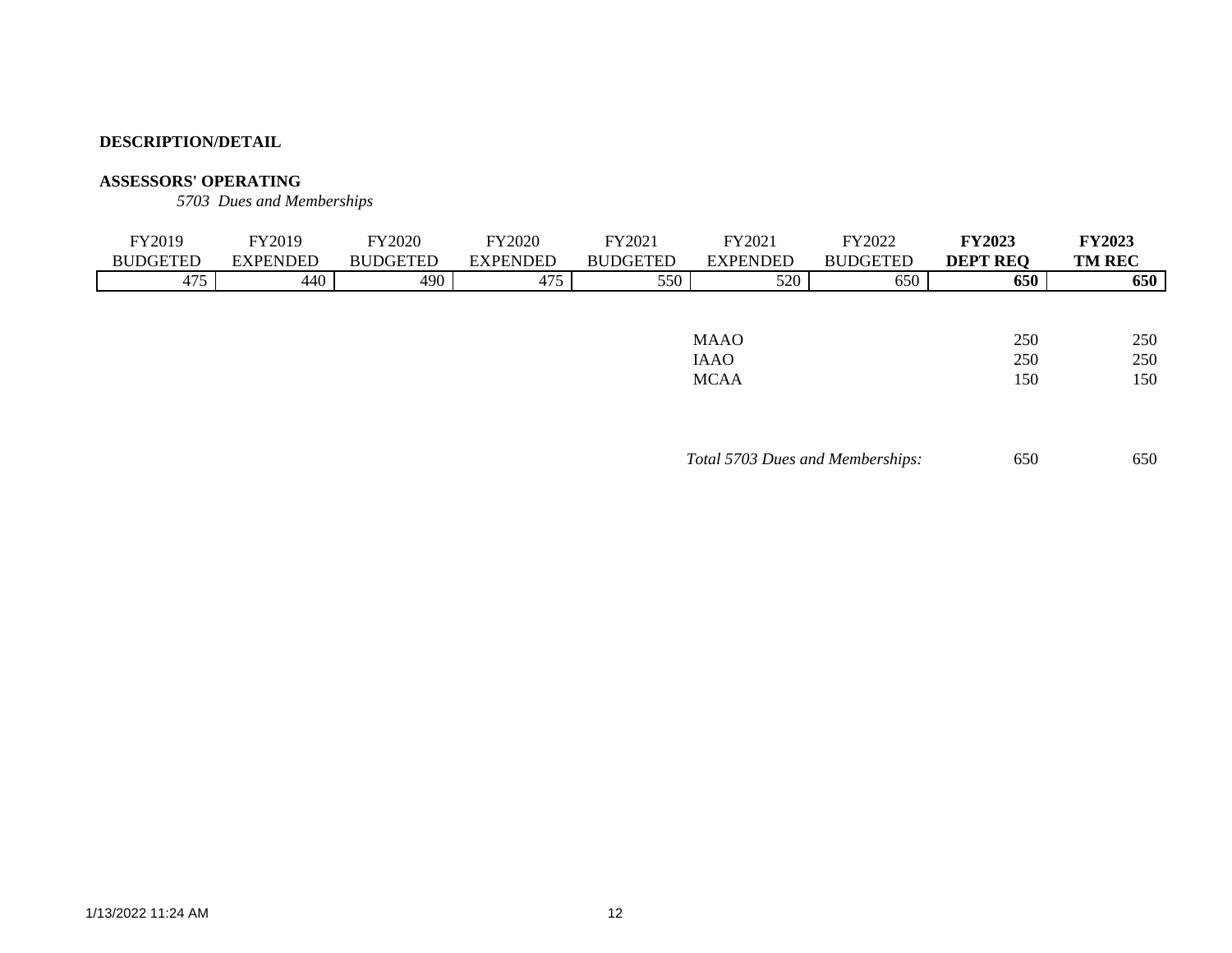# **ASSESSORS' OPERATING**

*5703 Dues and Memberships*

| FY2019          | FY2019          | <b>FY2020</b>   | <b>FY2020</b>   | FY2021          | FY2021          | FY2022          | <b>FY2023</b>   | <b>FY2023</b> |
|-----------------|-----------------|-----------------|-----------------|-----------------|-----------------|-----------------|-----------------|---------------|
| <b>BUDGETED</b> | <b>EXPENDED</b> | <b>BUDGETED</b> | <b>EXPENDED</b> | <b>BUDGETED</b> | <b>EXPENDED</b> | <b>BUDGETED</b> | <b>DEPT REQ</b> | <b>TM REC</b> |
| 475             | 440             | 490             | 475             | 550             | 520             | 650             | 650             | 650           |
|                 |                 |                 |                 |                 |                 |                 |                 |               |
|                 |                 |                 |                 |                 |                 |                 |                 |               |
|                 | <b>MAAO</b>     |                 |                 |                 |                 |                 | 250             | 250           |
| <b>IAAO</b>     |                 |                 |                 |                 |                 | 250             | 250             |               |
|                 |                 |                 |                 |                 | <b>MCAA</b>     |                 | 150             | 150           |
|                 |                 |                 |                 |                 |                 |                 |                 |               |

*Total 5703 Dues and Memberships:* 650 650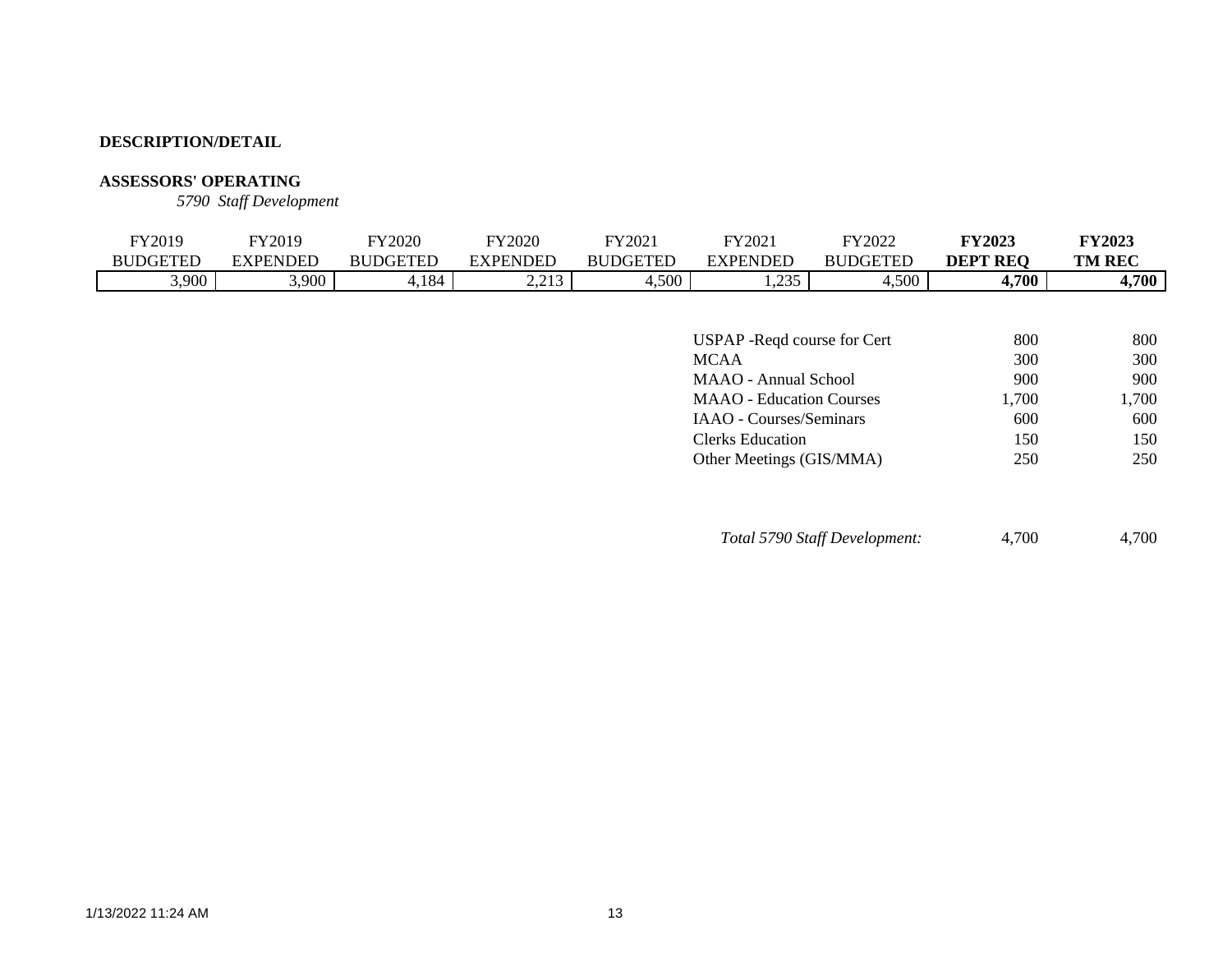# **ASSESSORS' OPERATING**

*5790 Staff Development*

| FY2019          | FY2019          | FY2020          | FY2020          | FY2021          | FY2021          | FY2022                | <b>FY2023</b>   | <b>FY2023</b> |
|-----------------|-----------------|-----------------|-----------------|-----------------|-----------------|-----------------------|-----------------|---------------|
| <b>BUDGETED</b> | <b>EXPENDED</b> | <b>BUDGETED</b> | EXPENDED        | <b>BUDGETED</b> | <b>EXPENDED</b> | DGETED<br>RU          | <b>DEPT REQ</b> | <b>TM REC</b> |
| 3,900           | 3,900           | 4,184           | 2212<br>ر د د ک | ,500            | 235<br>.        | 4,500<br><u>. н. </u> | 4,700           | <b>1,700</b>  |
|                 |                 |                 |                 |                 |                 |                       |                 |               |

| USPAP - Reqd course for Cert    | 800   | 800   |
|---------------------------------|-------|-------|
| <b>MCAA</b>                     | 300   | 300   |
| <b>MAAO</b> - Annual School     | 900   | 900   |
| <b>MAAO</b> - Education Courses | 1,700 | 1,700 |
| IAAO - Courses/Seminars         | 600   | 600   |
| Clerks Education                | 150   | 150   |
| Other Meetings (GIS/MMA)        | 250   | 250   |
|                                 |       |       |

*Total 5790 Staff Development:* 4,700 4,700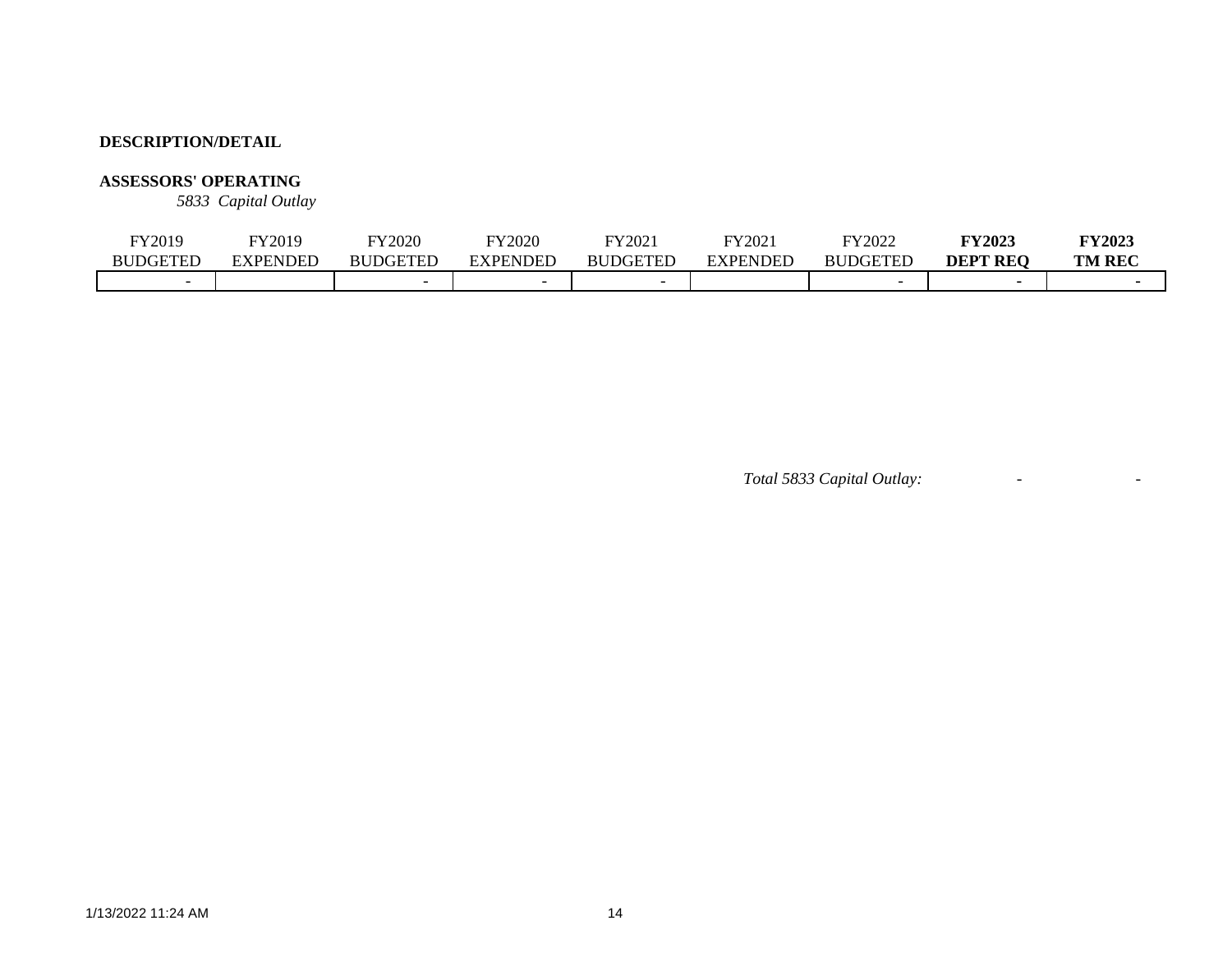# **ASSESSORS' OPERATING**

*5833 Capital Outlay*

| FY2019          | FY2019   | TY2020          | Y2020                    | FY202.          | FY2021          | FY2022                | <b>FY2023</b>             | <b>FY2023</b> |
|-----------------|----------|-----------------|--------------------------|-----------------|-----------------|-----------------------|---------------------------|---------------|
| <b>BUDGETED</b> | EXPENDED | <b>BUDGETED</b> | EXPENDED                 | <b>BUDGETED</b> | <b>EXPENDED</b> | JDGETED<br><b>BUI</b> | <b>DEPT</b><br><b>REO</b> | <b>TM REC</b> |
|                 |          |                 | $\overline{\phantom{0}}$ |                 |                 |                       |                           |               |

*Total 5833 Capital Outlay:* - -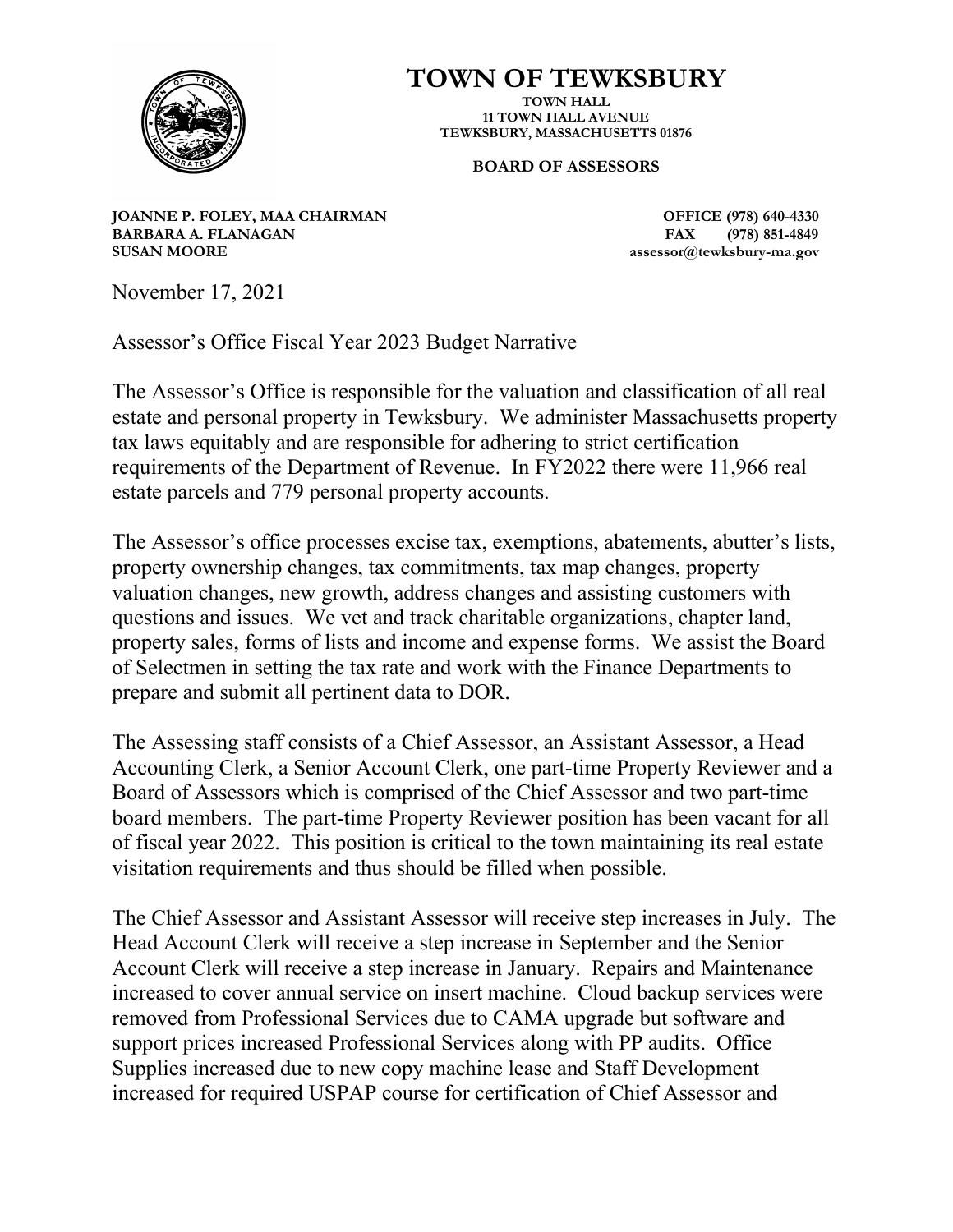

# **TOWN OF TEWKSBURY**

**TOWN HALL 11 TOWN HALL AVENUE TEWKSBURY, MASSACHUSETTS 01876**

### **BOARD OF ASSESSORS**

**JOANNE P. FOLEY, MAA CHAIRMAN OFFICE (978) 640-4330 BARBARA A. FLANAGAN FAX SUSAN MOORE assessor@tewksbury-ma.gov**

November 17, 2021

Assessor's Office Fiscal Year 2023 Budget Narrative

The Assessor's Office is responsible for the valuation and classification of all real estate and personal property in Tewksbury. We administer Massachusetts property tax laws equitably and are responsible for adhering to strict certification requirements of the Department of Revenue. In FY2022 there were 11,966 real estate parcels and 779 personal property accounts.

The Assessor's office processes excise tax, exemptions, abatements, abutter's lists, property ownership changes, tax commitments, tax map changes, property valuation changes, new growth, address changes and assisting customers with questions and issues. We vet and track charitable organizations, chapter land, property sales, forms of lists and income and expense forms. We assist the Board of Selectmen in setting the tax rate and work with the Finance Departments to prepare and submit all pertinent data to DOR.

The Assessing staff consists of a Chief Assessor, an Assistant Assessor, a Head Accounting Clerk, a Senior Account Clerk, one part-time Property Reviewer and a Board of Assessors which is comprised of the Chief Assessor and two part-time board members. The part-time Property Reviewer position has been vacant for all of fiscal year 2022. This position is critical to the town maintaining its real estate visitation requirements and thus should be filled when possible.

The Chief Assessor and Assistant Assessor will receive step increases in July. The Head Account Clerk will receive a step increase in September and the Senior Account Clerk will receive a step increase in January. Repairs and Maintenance increased to cover annual service on insert machine. Cloud backup services were removed from Professional Services due to CAMA upgrade but software and support prices increased Professional Services along with PP audits. Office Supplies increased due to new copy machine lease and Staff Development increased for required USPAP course for certification of Chief Assessor and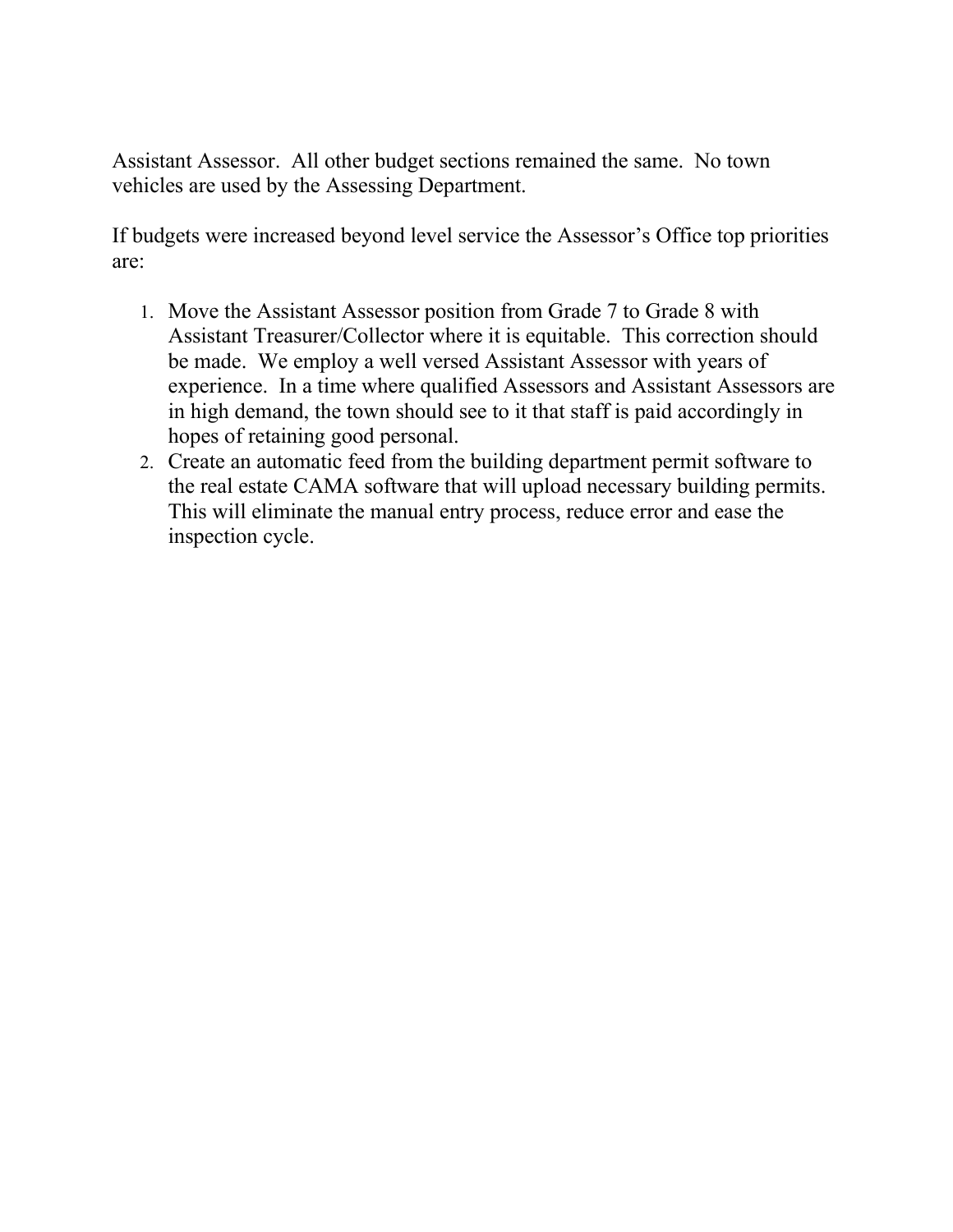Assistant Assessor. All other budget sections remained the same. No town vehicles are used by the Assessing Department.

If budgets were increased beyond level service the Assessor's Office top priorities are:

- 1. Move the Assistant Assessor position from Grade 7 to Grade 8 with Assistant Treasurer/Collector where it is equitable. This correction should be made. We employ a well versed Assistant Assessor with years of experience. In a time where qualified Assessors and Assistant Assessors are in high demand, the town should see to it that staff is paid accordingly in hopes of retaining good personal.
- 2. Create an automatic feed from the building department permit software to the real estate CAMA software that will upload necessary building permits. This will eliminate the manual entry process, reduce error and ease the inspection cycle.